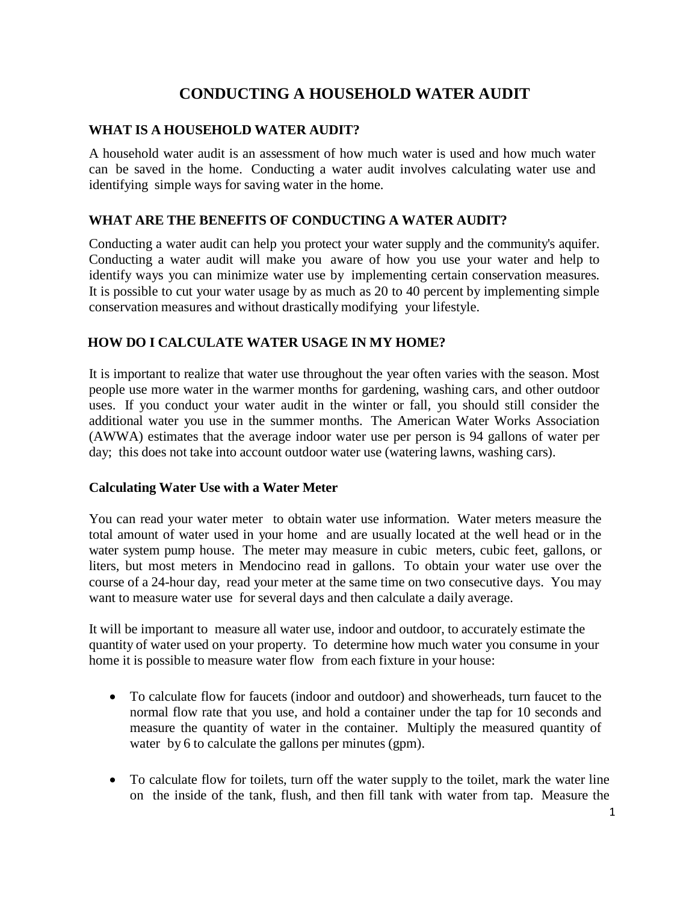# **CONDUCTING A HOUSEHOLD WATER AUDIT**

### **WHAT IS A HOUSEHOLD WATER AUDIT?**

A household water audit is an assessment of how much water is used and how much water can be saved in the home. Conducting a water audit involves calculating water use and identifying simple ways for saving water in the home.

# **WHAT ARE THE BENEFITS OF CONDUCTING A WATER AUDIT?**

Conducting a water audit can help you protect your water supply and the community's aquifer. Conducting a water audit will make you aware of how you use your water and help to identify ways you can minimize water use by implementing certain conservation measures. It is possible to cut your water usage by as much as 20 to 40 percent by implementing simple conservation measures and without drastically modifying your lifestyle.

# **HOW DO I CALCULATE WATER USAGE IN MY HOME?**

It is important to realize that water use throughout the year often varies with the season. Most people use more water in the warmer months for gardening, washing cars, and other outdoor uses. If you conduct your water audit in the winter or fall, you should still consider the additional water you use in the summer months. The American Water Works Association (AWWA) estimates that the average indoor water use per person is 94 gallons of water per day; this does not take into account outdoor water use (watering lawns, washing cars).

### **Calculating Water Use with a Water Meter**

You can read your water meter to obtain water use information. Water meters measure the total amount of water used in your home and are usually located at the well head or in the water system pump house. The meter may measure in cubic meters, cubic feet, gallons, or liters, but most meters in Mendocino read in gallons. To obtain your water use over the course of a 24-hour day, read your meter at the same time on two consecutive days. You may want to measure water use for several days and then calculate a daily average.

It will be important to measure all water use, indoor and outdoor, to accurately estimate the quantity of water used on your property. To determine how much water you consume in your home it is possible to measure water flow from each fixture in your house:

- To calculate flow for faucets (indoor and outdoor) and showerheads, turn faucet to the normal flow rate that you use, and hold a container under the tap for 10 seconds and measure the quantity of water in the container. Multiply the measured quantity of water by 6 to calculate the gallons per minutes (gpm).
- To calculate flow for toilets, turn off the water supply to the toilet, mark the water line on the inside of the tank, flush, and then fill tank with water from tap. Measure the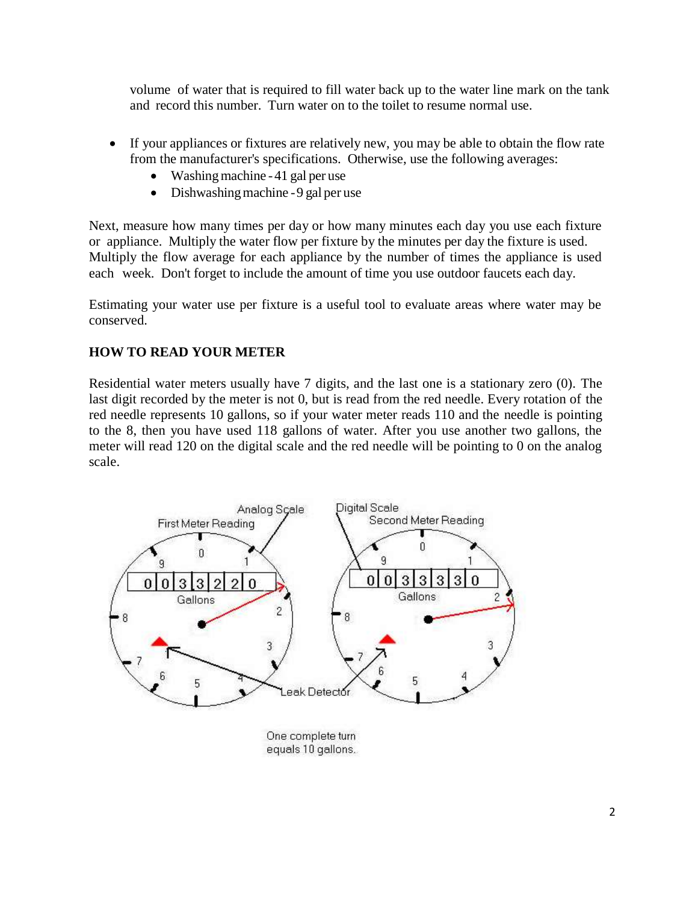volume of water that is required to fill water back up to the water line mark on the tank and record this number. Turn water on to the toilet to resume normal use.

- If your appliances or fixtures are relatively new, you may be able to obtain the flow rate from the manufacturer's specifications. Otherwise, use the following averages:
	- $\bullet$  Washing machine -41 gal per use
	- $\bullet$  Dishwashing machine -9 gal per use

Next, measure how many times per day or how many minutes each day you use each fixture or appliance. Multiply the water flow per fixture by the minutes per day the fixture is used. Multiply the flow average for each appliance by the number of times the appliance is used each week. Don't forget to include the amount of time you use outdoor faucets each day.

Estimating your water use per fixture is a useful tool to evaluate areas where water may be conserved.

# **HOW TO READ YOUR METER**

Residential water meters usually have 7 digits, and the last one is a stationary zero (0). The last digit recorded by the meter is not 0, but is read from the red needle. Every rotation of the red needle represents 10 gallons, so if your water meter reads 110 and the needle is pointing to the 8, then you have used 118 gallons of water. After you use another two gallons, the meter will read 120 on the digital scale and the red needle will be pointing to 0 on the analog scale.



equals 10 gallons.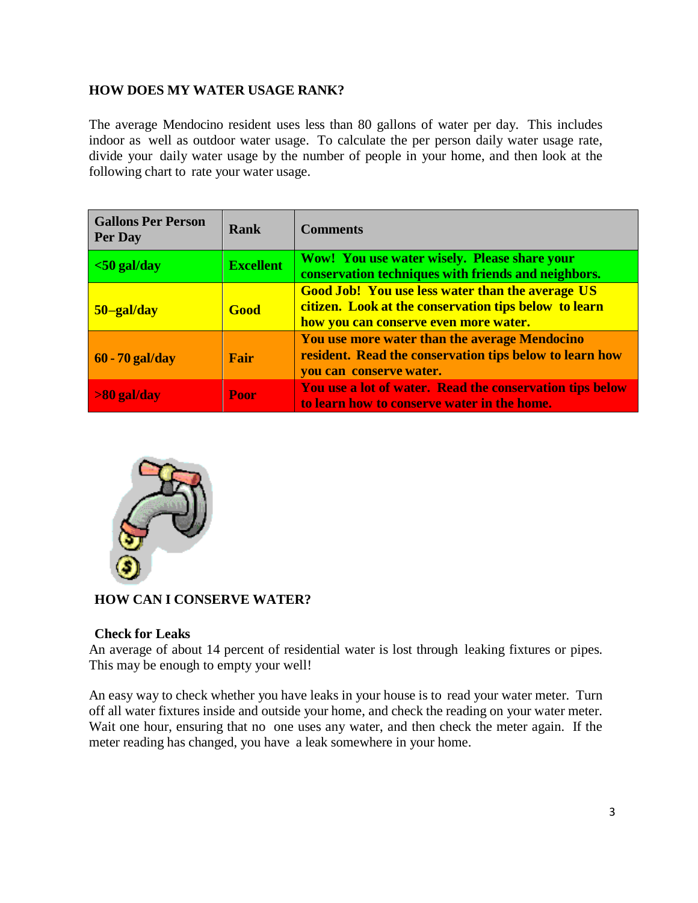# **HOW DOES MY WATER USAGE RANK?**

The average Mendocino resident uses less than 80 gallons of water per day. This includes indoor as well as outdoor water usage. To calculate the per person daily water usage rate, divide your daily water usage by the number of people in your home, and then look at the following chart to rate your water usage.

| <b>Gallons Per Person</b><br>Per Day | Rank             | <b>Comments</b>                                                                                                                                           |
|--------------------------------------|------------------|-----------------------------------------------------------------------------------------------------------------------------------------------------------|
| $<$ 50 gal/day                       | <b>Excellent</b> | Wow! You use water wisely. Please share your<br>conservation techniques with friends and neighbors.                                                       |
| 50-gal/day                           | <b>Good</b>      | <b>Good Job! You use less water than the average US</b><br>citizen. Look at the conservation tips below to learn<br>how you can conserve even more water. |
| $60 - 70$ gal/day                    | Fair             | You use more water than the average Mendocino<br>resident. Read the conservation tips below to learn how<br>you can conserve water.                       |
| $>80$ gal/day                        | <b>Poor</b>      | You use a lot of water. Read the conservation tips below<br>to learn how to conserve water in the home.                                                   |



# **HOW CAN I CONSERVE WATER?**

# **Check for Leaks**

An average of about 14 percent of residential water is lost through leaking fixtures or pipes. This may be enough to empty your well!

An easy way to check whether you have leaks in your house is to read your water meter. Turn off all water fixtures inside and outside your home, and check the reading on your water meter. Wait one hour, ensuring that no one uses any water, and then check the meter again. If the meter reading has changed, you have a leak somewhere in your home.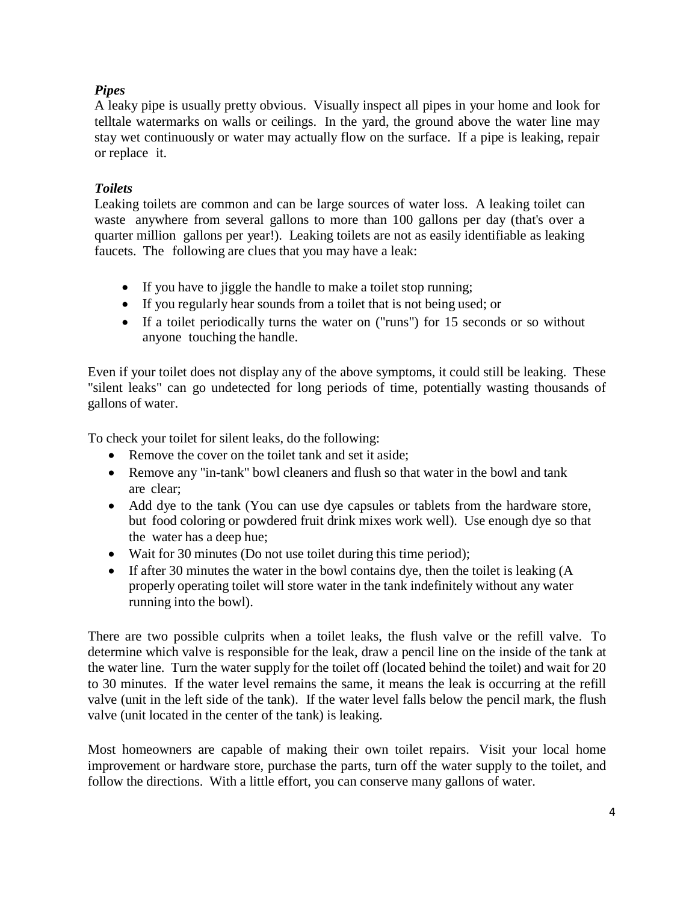# *Pipes*

A leaky pipe is usually pretty obvious. Visually inspect all pipes in your home and look for telltale watermarks on walls or ceilings. In the yard, the ground above the water line may stay wet continuously or water may actually flow on the surface. If a pipe is leaking, repair or replace it.

# *Toilets*

Leaking toilets are common and can be large sources of water loss. A leaking toilet can waste anywhere from several gallons to more than 100 gallons per day (that's over a quarter million gallons per year!). Leaking toilets are not as easily identifiable as leaking faucets. The following are clues that you may have a leak:

- If you have to jiggle the handle to make a toilet stop running;
- If you regularly hear sounds from a toilet that is not being used; or
- If a toilet periodically turns the water on ("runs") for 15 seconds or so without anyone touching the handle.

Even if your toilet does not display any of the above symptoms, it could still be leaking. These "silent leaks" can go undetected for long periods of time, potentially wasting thousands of gallons of water.

To check your toilet for silent leaks, do the following:

- Remove the cover on the toilet tank and set it aside;
- Remove any "in-tank" bowl cleaners and flush so that water in the bowl and tank are clear;
- Add dye to the tank (You can use dye capsules or tablets from the hardware store, but food coloring or powdered fruit drink mixes work well). Use enough dye so that the water has a deep hue;
- Wait for 30 minutes (Do not use toilet during this time period);
- If after 30 minutes the water in the bowl contains dye, then the toilet is leaking (A properly operating toilet will store water in the tank indefinitely without any water running into the bowl).

There are two possible culprits when a toilet leaks, the flush valve or the refill valve. To determine which valve is responsible for the leak, draw a pencil line on the inside of the tank at the water line. Turn the water supply for the toilet off (located behind the toilet) and wait for 20 to 30 minutes. If the water level remains the same, it means the leak is occurring at the refill valve (unit in the left side of the tank). If the water level falls below the pencil mark, the flush valve (unit located in the center of the tank) is leaking.

Most homeowners are capable of making their own toilet repairs. Visit your local home improvement or hardware store, purchase the parts, turn off the water supply to the toilet, and follow the directions. With a little effort, you can conserve many gallons of water.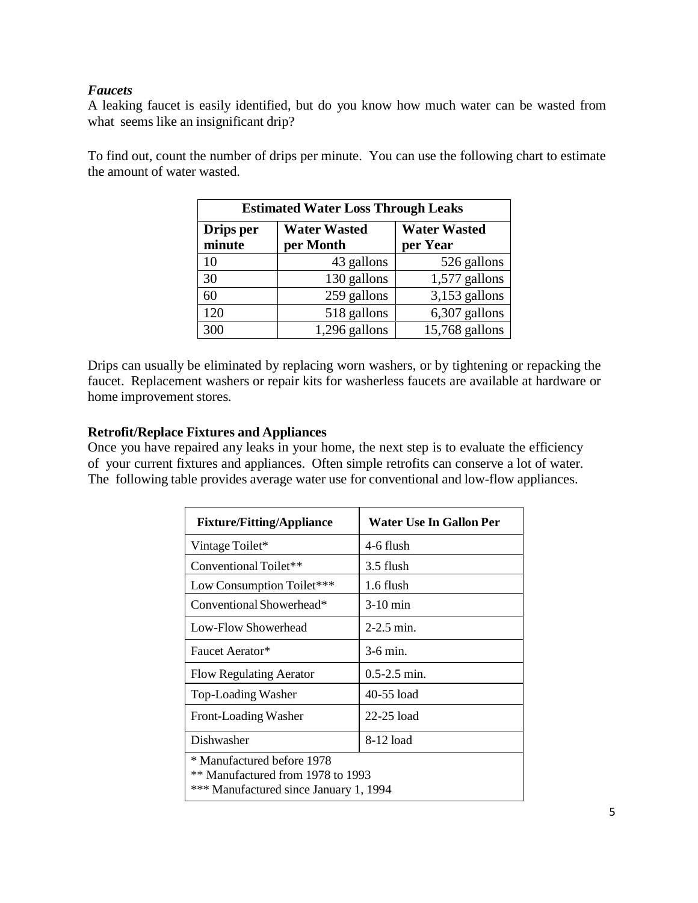# *Faucets*

A leaking faucet is easily identified, but do you know how much water can be wasted from what seems like an insignificant drip?

To find out, count the number of drips per minute. You can use the following chart to estimate the amount of water wasted.

| <b>Estimated Water Loss Through Leaks</b> |                                  |                                 |  |  |
|-------------------------------------------|----------------------------------|---------------------------------|--|--|
| Drips per<br>minute                       | <b>Water Wasted</b><br>per Month | <b>Water Wasted</b><br>per Year |  |  |
| 10                                        | 43 gallons                       | 526 gallons                     |  |  |
| 30                                        | 130 gallons                      | $1,577$ gallons                 |  |  |
| 60                                        | 259 gallons                      | 3,153 gallons                   |  |  |
| 120                                       | 518 gallons                      | 6,307 gallons                   |  |  |
| 300                                       | 1,296 gallons                    | 15,768 gallons                  |  |  |

Drips can usually be eliminated by replacing worn washers, or by tightening or repacking the faucet. Replacement washers or repair kits for washerless faucets are available at hardware or home improvement stores.

### **Retrofit/Replace Fixtures and Appliances**

Once you have repaired any leaks in your home, the next step is to evaluate the efficiency of your current fixtures and appliances. Often simple retrofits can conserve a lot of water. The following table provides average water use for conventional and low-flow appliances.

| <b>Fixture/Fitting/Appliance</b>                                                                                     | Water Use In Gallon Per |  |  |
|----------------------------------------------------------------------------------------------------------------------|-------------------------|--|--|
| Vintage Toilet*                                                                                                      | 4-6 flush               |  |  |
| Conventional Toilet**                                                                                                | 3.5 flush               |  |  |
| Low Consumption Toilet***                                                                                            | 1.6 flush               |  |  |
| Conventional Showerhead*                                                                                             | $3-10$ min              |  |  |
| Low-Flow Showerhead                                                                                                  | $2-2.5$ min.            |  |  |
| Faucet Aerator*                                                                                                      | $3-6$ min.              |  |  |
| <b>Flow Regulating Aerator</b>                                                                                       | $0.5 - 2.5$ min.        |  |  |
| Top-Loading Washer                                                                                                   | 40-55 load              |  |  |
| Front-Loading Washer                                                                                                 | $22-25$ load            |  |  |
| Dishwasher                                                                                                           | 8-12 load               |  |  |
| * Manufactured before 1978<br><sup>**</sup> Manufactured from 1978 to 1993<br>*** Manufactured since January 1, 1994 |                         |  |  |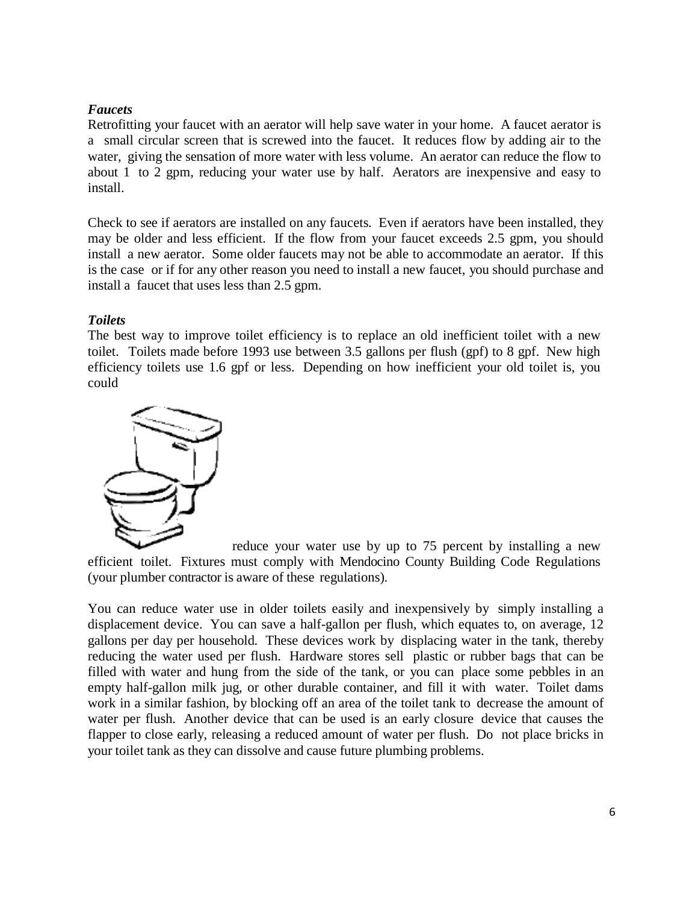# *Faucets*

Retrofitting your faucet with an aerator will help save water in your home. A faucet aerator is a small circular screen that is screwed into the faucet. It reduces flow by adding air to the water, giving the sensation of more water with less volume. An aerator can reduce the flow to about 1 to 2 gpm, reducing your water use by half. Aerators are inexpensive and easy to install.

Check to see if aerators are installed on any faucets. Even if aerators have been installed, they may be older and less efficient. If the flow from your faucet exceeds 2.5 gpm, you should install a new aerator. Some older faucets may not be able to accommodate an aerator. If this is the case or if for any other reason you need to install a new faucet, you should purchase and install a faucet that uses less than 2.5 gpm.

# *Toilets*

The best way to improve toilet efficiency is to replace an old inefficient toilet with a new toilet. Toilets made before 1993 use between 3.5 gallons per flush (gpf) to 8 gpf. New high efficiency toilets use 1.6 gpf or less. Depending on how inefficient your old toilet is, you could



reduce your water use by up to 75 percent by installing a new efficient toilet. Fixtures must comply with Mendocino County Building Code Regulations (your plumber contractor is aware of these regulations).

You can reduce water use in older toilets easily and inexpensively by simply installing a displacement device. You can save a half-gallon per flush, which equates to, on average, 12 gallons per day per household. These devices work by displacing water in the tank, thereby reducing the water used per flush. Hardware stores sell plastic or rubber bags that can be filled with water and hung from the side of the tank, or you can place some pebbles in an empty half-gallon milk jug, or other durable container, and fill it with water. Toilet dams work in a similar fashion, by blocking off an area of the toilet tank to decrease the amount of water per flush. Another device that can be used is an early closure device that causes the flapper to close early, releasing a reduced amount of water per flush. Do not place bricks in your toilet tank as they can dissolve and cause future plumbing problems.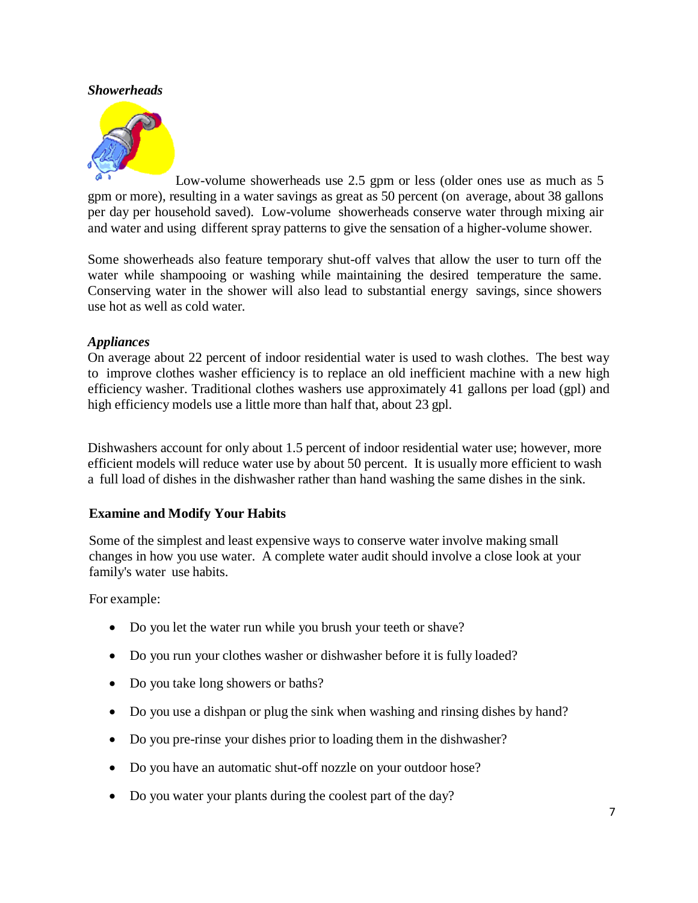### *Showerheads*



Low-volume showerheads use 2.5 gpm or less (older ones use as much as 5 gpm or more), resulting in a water savings as great as 50 percent (on average, about 38 gallons per day per household saved). Low-volume showerheads conserve water through mixing air and water and using different spray patterns to give the sensation of a higher-volume shower.

Some showerheads also feature temporary shut-off valves that allow the user to turn off the water while shampooing or washing while maintaining the desired temperature the same. Conserving water in the shower will also lead to substantial energy savings, since showers use hot as well as cold water.

#### *Appliances*

On average about 22 percent of indoor residential water is used to wash clothes. The best way to improve clothes washer efficiency is to replace an old inefficient machine with a new high efficiency washer. Traditional clothes washers use approximately 41 gallons per load (gpl) and high efficiency models use a little more than half that, about 23 gpl.

Dishwashers account for only about 1.5 percent of indoor residential water use; however, more efficient models will reduce water use by about 50 percent. It is usually more efficient to wash a full load of dishes in the dishwasher rather than hand washing the same dishes in the sink.

### **Examine and Modify Your Habits**

Some of the simplest and least expensive ways to conserve water involve making small changes in how you use water. A complete water audit should involve a close look at your family's water use habits.

For example:

- Do you let the water run while you brush your teeth or shave?
- Do you run your clothes washer or dishwasher before it is fully loaded?
- Do you take long showers or baths?
- Do you use a dishpan or plug the sink when washing and rinsing dishes by hand?
- Do you pre-rinse your dishes prior to loading them in the dishwasher?
- Do you have an automatic shut-off nozzle on your outdoor hose?
- Do you water your plants during the coolest part of the day?